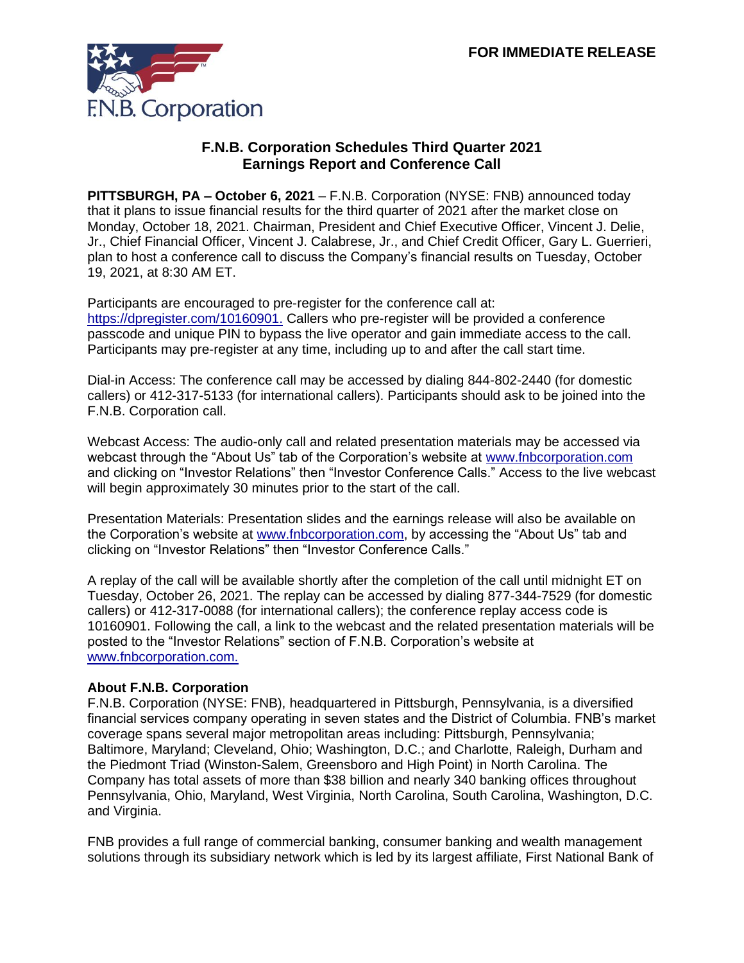

## **F.N.B. Corporation Schedules Third Quarter 2021 Earnings Report and Conference Call**

**PITTSBURGH, PA – October 6, 2021** – F.N.B. Corporation (NYSE: FNB) announced today that it plans to issue financial results for the third quarter of 2021 after the market close on Monday, October 18, 2021. Chairman, President and Chief Executive Officer, Vincent J. Delie, Jr., Chief Financial Officer, Vincent J. Calabrese, Jr., and Chief Credit Officer, Gary L. Guerrieri, plan to host a conference call to discuss the Company's financial results on Tuesday, October 19, 2021, at 8:30 AM ET.

Participants are encouraged to pre-register for the conference call at: https://dpregister.com/10160901. Callers who pre-register will be provided a conference passcode and unique PIN to bypass the live operator and gain immediate access to the call. Participants may pre-register at any time, including up to and after the call start time.

Dial-in Access: The conference call may be accessed by dialing 844-802-2440 (for domestic callers) or 412-317-5133 (for international callers). Participants should ask to be joined into the F.N.B. Corporation call.

Webcast Access: The audio-only call and related presentation materials may be accessed via webcast through the "About Us" tab of the Corporation's website at [www.fnbcorporation.com](http://www.fnbcorporation.com/) and clicking on "Investor Relations" then "Investor Conference Calls." Access to the live webcast will begin approximately 30 minutes prior to the start of the call.

Presentation Materials: Presentation slides and the earnings release will also be available on the Corporation's website at [www.fnbcorporation.com,](http://www.fnbcorporation.com/) by accessing the "About Us" tab and clicking on "Investor Relations" then "Investor Conference Calls."

A replay of the call will be available shortly after the completion of the call until midnight ET on Tuesday, October 26, 2021. The replay can be accessed by dialing 877-344-7529 (for domestic callers) or 412-317-0088 (for international callers); the conference replay access code is 10160901. Following the call, a link to the webcast and the related presentation materials will be posted to the "Investor Relations" section of F.N.B. Corporation's website at [www.fnbcorporation.com.](http://www.fnbcorporation.com/)

## **About F.N.B. Corporation**

F.N.B. Corporation (NYSE: FNB), headquartered in Pittsburgh, Pennsylvania, is a diversified financial services company operating in seven states and the District of Columbia. FNB's market coverage spans several major metropolitan areas including: Pittsburgh, Pennsylvania; Baltimore, Maryland; Cleveland, Ohio; Washington, D.C.; and Charlotte, Raleigh, Durham and the Piedmont Triad (Winston-Salem, Greensboro and High Point) in North Carolina. The Company has total assets of more than \$38 billion and nearly 340 banking offices throughout Pennsylvania, Ohio, Maryland, West Virginia, North Carolina, South Carolina, Washington, D.C. and Virginia.

FNB provides a full range of commercial banking, consumer banking and wealth management solutions through its subsidiary network which is led by its largest affiliate, First National Bank of